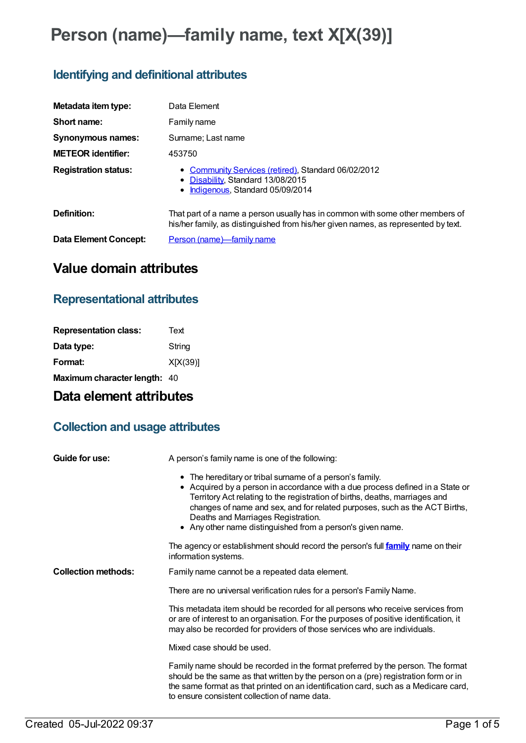# **Person (name)—family name, text X[X(39)]**

## **Identifying and definitional attributes**

| Metadata item type:         | Data Element                                                                                                                                                        |
|-----------------------------|---------------------------------------------------------------------------------------------------------------------------------------------------------------------|
| Short name:                 | Family name                                                                                                                                                         |
| <b>Synonymous names:</b>    | Surname; Last name                                                                                                                                                  |
| <b>METEOR identifier:</b>   | 453750                                                                                                                                                              |
| <b>Registration status:</b> | • Community Services (retired), Standard 06/02/2012<br>• Disability, Standard 13/08/2015<br>Indigenous, Standard 05/09/2014                                         |
| Definition:                 | That part of a name a person usually has in common with some other members of<br>his/her family, as distinguished from his/her given names, as represented by text. |
| Data Element Concept:       | Person (name)—family name                                                                                                                                           |

## **Value domain attributes**

### **Representational attributes**

| <b>Representation class:</b> | Text     |
|------------------------------|----------|
| Data type:                   | String   |
| Format:                      | X[X(39)] |
| Maximum character length: 40 |          |

## **Data element attributes**

## **Collection and usage attributes**

| Guide for use:             | A person's family name is one of the following:                                                                                                                                                                                                                                                                                                                                                            |
|----------------------------|------------------------------------------------------------------------------------------------------------------------------------------------------------------------------------------------------------------------------------------------------------------------------------------------------------------------------------------------------------------------------------------------------------|
|                            | • The hereditary or tribal surname of a person's family.<br>• Acquired by a person in accordance with a due process defined in a State or<br>Territory Act relating to the registration of births, deaths, marriages and<br>changes of name and sex, and for related purposes, such as the ACT Births,<br>Deaths and Marriages Registration.<br>• Any other name distinguished from a person's given name. |
|                            | The agency or establishment should record the person's full family name on their<br>information systems.                                                                                                                                                                                                                                                                                                   |
| <b>Collection methods:</b> | Family name cannot be a repeated data element.                                                                                                                                                                                                                                                                                                                                                             |
|                            | There are no universal verification rules for a person's Family Name.                                                                                                                                                                                                                                                                                                                                      |
|                            | This metadata item should be recorded for all persons who receive services from<br>or are of interest to an organisation. For the purposes of positive identification, it<br>may also be recorded for providers of those services who are individuals.                                                                                                                                                     |
|                            | Mixed case should be used.                                                                                                                                                                                                                                                                                                                                                                                 |
|                            | Family name should be recorded in the format preferred by the person. The format<br>should be the same as that written by the person on a (pre) registration form or in<br>the same format as that printed on an identification card, such as a Medicare card,<br>to ensure consistent collection of name data.                                                                                            |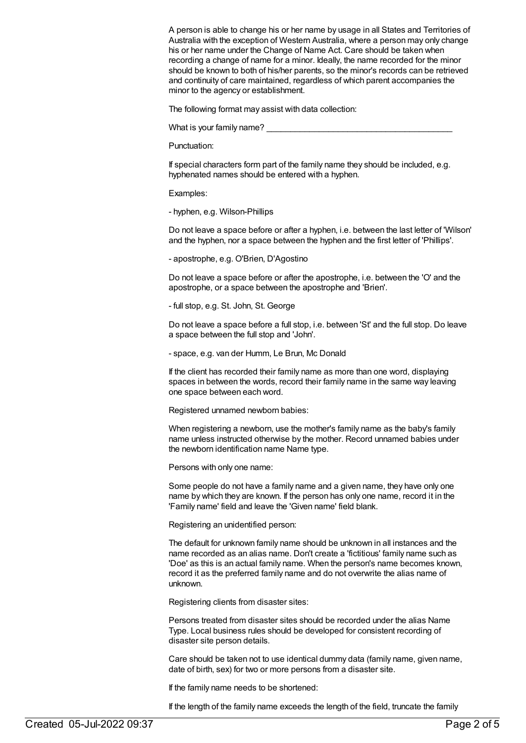A person is able to change his or her name by usage in all States and Territories of Australia with the exception of Western Australia, where a person may only change his or her name under the Change of Name Act. Care should be taken when recording a change of name for a minor. Ideally, the name recorded for the minor should be known to both of his/her parents, so the minor's records can be retrieved and continuity of care maintained, regardless of which parent accompanies the minor to the agency or establishment.

The following format may assist with data collection:

What is your family name?

Punctuation:

If special characters form part of the family name they should be included, e.g. hyphenated names should be entered with a hyphen.

Examples:

- hyphen, e.g. Wilson-Phillips

Do not leave a space before or after a hyphen, i.e. between the last letter of 'Wilson' and the hyphen, nor a space between the hyphen and the first letter of 'Phillips'.

- apostrophe, e.g. O'Brien, D'Agostino

Do not leave a space before or after the apostrophe, i.e. between the 'O' and the apostrophe, or a space between the apostrophe and 'Brien'.

- full stop, e.g. St. John, St. George

Do not leave a space before a full stop, i.e. between 'St' and the full stop. Do leave a space between the full stop and 'John'.

- space, e.g. van der Humm, Le Brun, Mc Donald

If the client has recorded their family name as more than one word, displaying spaces in between the words, record their family name in the same way leaving one space between each word.

Registered unnamed newborn babies:

When registering a newborn, use the mother's family name as the baby's family name unless instructed otherwise by the mother. Record unnamed babies under the newborn identification name Name type.

Persons with only one name:

Some people do not have a family name and a given name, they have only one name by which they are known. If the person has only one name, record it in the 'Family name' field and leave the 'Given name' field blank.

Registering an unidentified person:

The default for unknown family name should be unknown in all instances and the name recorded as an alias name. Don't create a 'fictitious' family name such as 'Doe' as this is an actual family name. When the person's name becomes known, record it as the preferred family name and do not overwrite the alias name of unknown.

Registering clients from disaster sites:

Persons treated from disaster sites should be recorded under the alias Name Type. Local business rules should be developed for consistent recording of disaster site person details.

Care should be taken not to use identical dummy data (family name, given name, date of birth, sex) for two or more persons from a disaster site.

If the family name needs to be shortened:

If the length of the family name exceeds the length of the field, truncate the family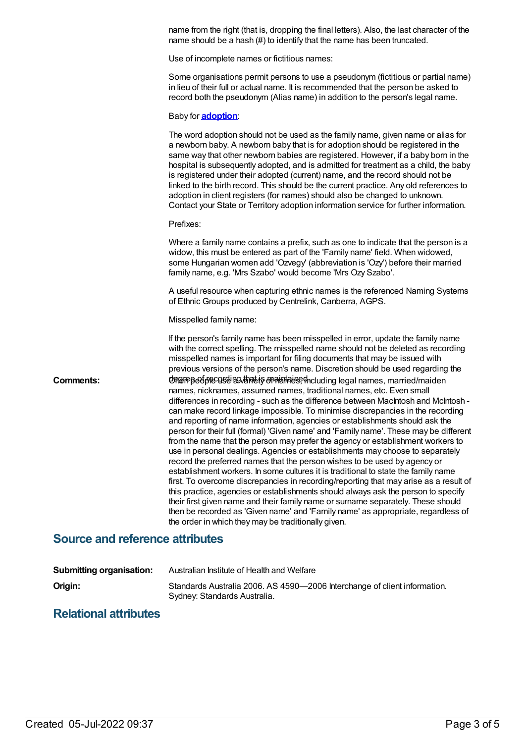name from the right (that is, dropping the final letters). Also, the last character of the name should be a hash (#) to identify that the name has been truncated.

Use of incomplete names or fictitious names:

Some organisations permit persons to use a pseudonym (fictitious or partial name) in lieu of their full or actual name. It is recommended that the person be asked to record both the pseudonym (Alias name) in addition to the person's legal name.

#### Baby for **[adoption](https://meteor.aihw.gov.au/content/327208)**:

| The word adoption should not be used as the family name, given name or alias for<br>a newborn baby. A newborn baby that is for adoption should be registered in the<br>same way that other newborn babies are registered. However, if a baby born in the<br>hospital is subsequently adopted, and is admitted for treatment as a child, the baby<br>is registered under their adopted (current) name, and the record should not be<br>linked to the birth record. This should be the current practice. Any old references to<br>adoption in client registers (for names) should also be changed to unknown.<br>Contact your State or Territory adoption information service for further information.                                                                                                                                                                                                                                                                                                                                                                                                                                                                                                                                                 |
|------------------------------------------------------------------------------------------------------------------------------------------------------------------------------------------------------------------------------------------------------------------------------------------------------------------------------------------------------------------------------------------------------------------------------------------------------------------------------------------------------------------------------------------------------------------------------------------------------------------------------------------------------------------------------------------------------------------------------------------------------------------------------------------------------------------------------------------------------------------------------------------------------------------------------------------------------------------------------------------------------------------------------------------------------------------------------------------------------------------------------------------------------------------------------------------------------------------------------------------------------|
| Prefixes:                                                                                                                                                                                                                                                                                                                                                                                                                                                                                                                                                                                                                                                                                                                                                                                                                                                                                                                                                                                                                                                                                                                                                                                                                                            |
| Where a family name contains a prefix, such as one to indicate that the person is a<br>widow, this must be entered as part of the 'Family name' field. When widowed,<br>some Hungarian women add 'Ozvegy' (abbreviation is 'Ozy') before their married<br>family name, e.g. 'Mrs Szabo' would become 'Mrs Ozy Szabo'.                                                                                                                                                                                                                                                                                                                                                                                                                                                                                                                                                                                                                                                                                                                                                                                                                                                                                                                                |
| A useful resource when capturing ethnic names is the referenced Naming Systems<br>of Ethnic Groups produced by Centrelink, Canberra, AGPS.                                                                                                                                                                                                                                                                                                                                                                                                                                                                                                                                                                                                                                                                                                                                                                                                                                                                                                                                                                                                                                                                                                           |
| Misspelled family name:                                                                                                                                                                                                                                                                                                                                                                                                                                                                                                                                                                                                                                                                                                                                                                                                                                                                                                                                                                                                                                                                                                                                                                                                                              |
| If the person's family name has been misspelled in error, update the family name<br>with the correct spelling. The misspelled name should not be deleted as recording<br>misspelled names is important for filing documents that may be issued with<br>previous versions of the person's name. Discretion should be used regarding the                                                                                                                                                                                                                                                                                                                                                                                                                                                                                                                                                                                                                                                                                                                                                                                                                                                                                                               |
| CORGIFBeCipeCOSGURALIS OR ALAHAUS, tholuding legal names, married/maiden<br>names, nicknames, assumed names, traditional names, etc. Even small<br>differences in recording - such as the difference between MacIntosh and McIntosh -<br>can make record linkage impossible. To minimise discrepancies in the recording<br>and reporting of name information, agencies or establishments should ask the<br>person for their full (formal) 'Given name' and 'Family name'. These may be different<br>from the name that the person may prefer the agency or establishment workers to<br>use in personal dealings. Agencies or establishments may choose to separately<br>record the preferred names that the person wishes to be used by agency or<br>establishment workers. In some cultures it is traditional to state the family name<br>first. To overcome discrepancies in recording/reporting that may arise as a result of<br>this practice, agencies or establishments should always ask the person to specify<br>their first given name and their family name or surname separately. These should<br>then be recorded as 'Given name' and 'Family name' as appropriate, regardless of<br>the order in which they may be traditionally given. |
|                                                                                                                                                                                                                                                                                                                                                                                                                                                                                                                                                                                                                                                                                                                                                                                                                                                                                                                                                                                                                                                                                                                                                                                                                                                      |

### **Source and reference attributes**

| <b>Submitting organisation:</b> | Australian Institute of Health and Welfare                                                                |
|---------------------------------|-----------------------------------------------------------------------------------------------------------|
| Origin:                         | Standards Australia 2006. AS 4590-2006 Interchange of client information.<br>Sydney: Standards Australia. |

### **Relational attributes**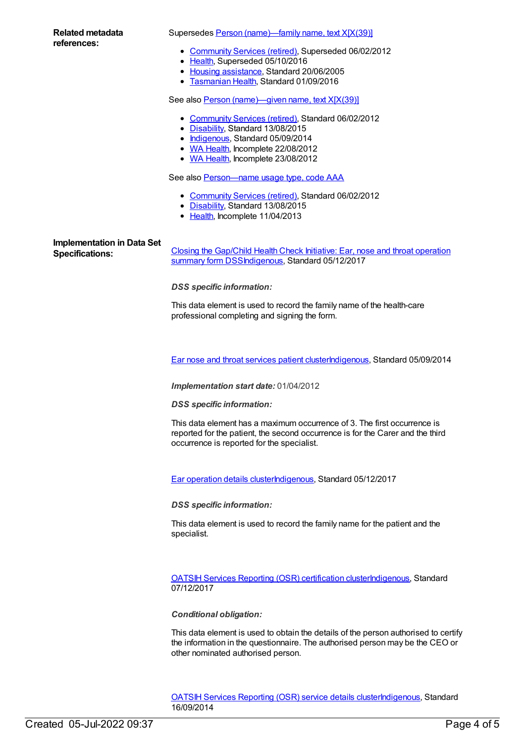### **Related metadata references:**

Supersedes Person [\(name\)—family](https://meteor.aihw.gov.au/content/286953) name, text X[X(39)]

- [Community](https://meteor.aihw.gov.au/RegistrationAuthority/1) Services (retired), Superseded 06/02/2012
- [Health](https://meteor.aihw.gov.au/RegistrationAuthority/12), Superseded 05/10/2016
- Housing [assistance](https://meteor.aihw.gov.au/RegistrationAuthority/11), Standard 20/06/2005
- **[Tasmanian](https://meteor.aihw.gov.au/RegistrationAuthority/15) Health, Standard 01/09/2016**

See also Person [\(name\)—given](https://meteor.aihw.gov.au/content/453734) name, text X[X(39)]

- [Community](https://meteor.aihw.gov.au/RegistrationAuthority/1) Services (retired), Standard 06/02/2012
- [Disability](https://meteor.aihw.gov.au/RegistrationAuthority/16), Standard 13/08/2015
- [Indigenous](https://meteor.aihw.gov.au/RegistrationAuthority/6), Standard 05/09/2014
- WA [Health](https://meteor.aihw.gov.au/RegistrationAuthority/2), Incomplete 22/08/2012
- WA [Health](https://meteor.aihw.gov.au/RegistrationAuthority/2), Incomplete 23/08/2012

See also **[Person—name](https://meteor.aihw.gov.au/content/453366) usage type, code AAA** 

- [Community](https://meteor.aihw.gov.au/RegistrationAuthority/1) Services (retired), Standard 06/02/2012
- [Disability](https://meteor.aihw.gov.au/RegistrationAuthority/16), Standard 13/08/2015
- [Health](https://meteor.aihw.gov.au/RegistrationAuthority/12), Incomplete 11/04/2013

## **Implementation in Data Set**

**Specifications:** Closing the Gap/Child Health Check Initiative: Ear, nose and throat operation summary form [DSSIndigenous,](https://meteor.aihw.gov.au/content/507516) Standard 05/12/2017

*DSS specific information:*

This data element is used to record the family name of the health-care professional completing and signing the form.

Ear nose and throat [services](https://meteor.aihw.gov.au/content/521709) patient cluste[rIndigenous](https://meteor.aihw.gov.au/RegistrationAuthority/6), Standard 05/09/2014

*Implementation start date:* 01/04/2012

*DSS specific information:*

This data element has a maximum occurrence of 3. The first occurrence is reported for the patient, the second occurrence is for the Carer and the third occurrence is reported for the specialist.

Ear [operation](https://meteor.aihw.gov.au/content/567130) details cluste[rIndigenous,](https://meteor.aihw.gov.au/RegistrationAuthority/6) Standard 05/12/2017

*DSS specific information:*

This data element is used to record the family name for the patient and the specialist.

**OATSIH Services Reporting (OSR) [certification](https://meteor.aihw.gov.au/content/664731) cluste[rIndigenous](https://meteor.aihw.gov.au/RegistrationAuthority/6), Standard** 07/12/2017

*Conditional obligation:*

This data element is used to obtain the details of the person authorised to certify the information in the questionnaire. The authorised person may be the CEO or other nominated authorised person.

**OATSIH Services [Reporting](https://meteor.aihw.gov.au/content/562988) (OSR) service details cluste[rIndigenous](https://meteor.aihw.gov.au/RegistrationAuthority/6), Standard** 16/09/2014